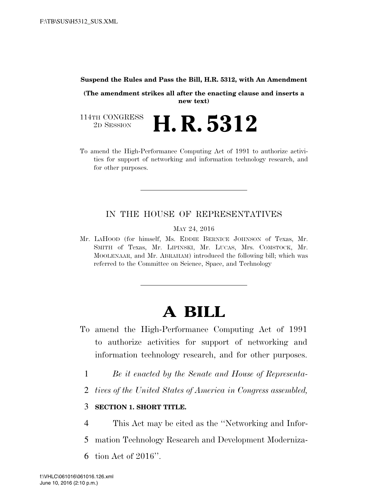#### **Suspend the Rules and Pass the Bill, H.R. 5312, with An Amendment**

**(The amendment strikes all after the enacting clause and inserts a new text)** 

114TH CONGRESS<br>2D SESSION 2D SESSION **H. R. 5312** 

To amend the High-Performance Computing Act of 1991 to authorize activities for support of networking and information technology research, and for other purposes.

## IN THE HOUSE OF REPRESENTATIVES

MAY 24, 2016

Mr. LAHOOD (for himself, Ms. EDDIE BERNICE JOHNSON of Texas, Mr. SMITH of Texas, Mr. LIPINSKI, Mr. LUCAS, Mrs. COMSTOCK, Mr. MOOLENAAR, and Mr. ABRAHAM) introduced the following bill; which was referred to the Committee on Science, Space, and Technology

# **A BILL**

- To amend the High-Performance Computing Act of 1991 to authorize activities for support of networking and information technology research, and for other purposes.
	- 1 *Be it enacted by the Senate and House of Representa-*
	- 2 *tives of the United States of America in Congress assembled,*

#### 3 **SECTION 1. SHORT TITLE.**

- 4 This Act may be cited as the ''Networking and Infor-
- 5 mation Technology Research and Development Moderniza-
- 6 tion Act of 2016''.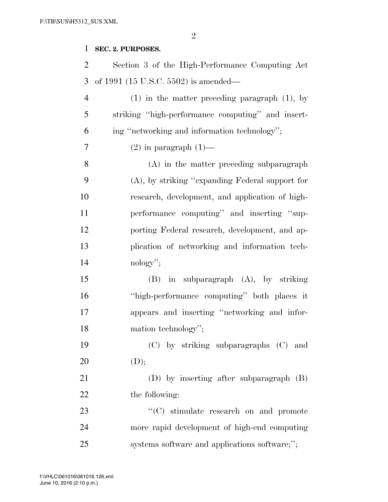#### **SEC. 2. PURPOSES.**

 Section 3 of the High-Performance Computing Act of 1991 (15 U.S.C. 5502) is amended— (1) in the matter preceding paragraph (1), by striking ''high-performance computing'' and insert- ing ''networking and information technology''; 7 (2) in paragraph  $(1)$ — (A) in the matter preceding subparagraph (A), by striking ''expanding Federal support for research, development, and application of high- performance computing'' and inserting ''sup- porting Federal research, development, and ap- plication of networking and information tech- nology''; (B) in subparagraph (A), by striking ''high-performance computing'' both places it appears and inserting ''networking and infor-18 mation technology''; (C) by striking subparagraphs (C) and 20  $(D);$  (D) by inserting after subparagraph (B) 22 the following: 23 "'(C) stimulate research on and promote more rapid development of high-end computing systems software and applications software;'';

June 10, 2016 (2:10 p.m.) f:\VHLC\061016\061016.126.xml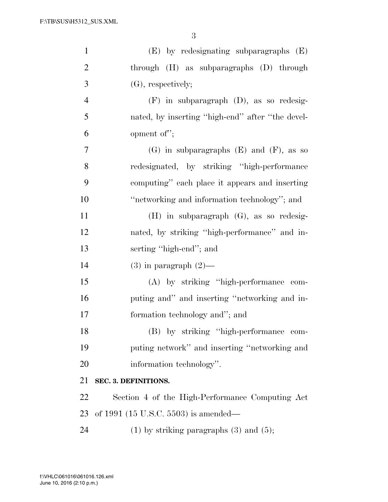| $\mathbf{1}$   | $(E)$ by redesignating subparagraphs $(E)$       |
|----------------|--------------------------------------------------|
| $\overline{2}$ | through $(H)$ as subparagraphs $(D)$ through     |
| 3              | $(G)$ , respectively;                            |
| $\overline{4}$ | $(F)$ in subparagraph $(D)$ , as so redesig-     |
| 5              | nated, by inserting "high-end" after "the devel- |
| 6              | opment of";                                      |
| 7              | $(G)$ in subparagraphs $(E)$ and $(F)$ , as so   |
| 8              | redesignated, by striking "high-performance      |
| 9              | computing" each place it appears and inserting   |
| 10             | "networking and information technology"; and     |
| 11             | $(H)$ in subparagraph $(G)$ , as so redesig-     |
| 12             | nated, by striking "high-performance" and in-    |
|                |                                                  |
| 13             | serting "high-end"; and                          |
| 14             | $(3)$ in paragraph $(2)$ —                       |
| 15             | (A) by striking "high-performance com-           |
| 16             | puting and" and inserting "networking and in-    |
| 17             | formation technology and"; and                   |
| 18             | (B) by striking "high-performance com-           |
| 19             | puting network" and inserting "networking and    |
| 20             | information technology".                         |
| 21             | SEC. 3. DEFINITIONS.                             |
| 22             | Section 4 of the High-Performance Computing Act  |
| 23             | of 1991 (15 U.S.C. 5503) is amended—             |
| 24             | $(1)$ by striking paragraphs $(3)$ and $(5)$ ;   |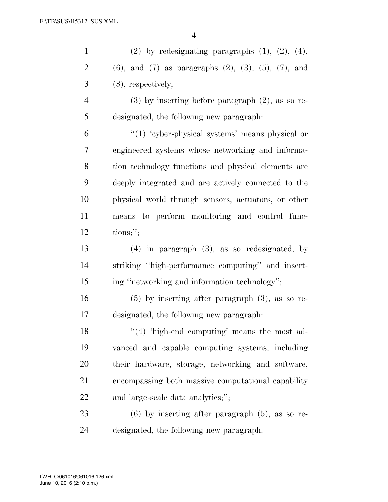| $\mathbf{1}$   | $(2)$ by redesignating paragraphs $(1)$ , $(2)$ , $(4)$ ,           |
|----------------|---------------------------------------------------------------------|
| $\overline{2}$ | $(6)$ , and $(7)$ as paragraphs $(2)$ , $(3)$ , $(5)$ , $(7)$ , and |
| 3              | $(8)$ , respectively;                                               |
| $\overline{4}$ | $(3)$ by inserting before paragraph $(2)$ , as so re-               |
| 5              | designated, the following new paragraph:                            |
| 6              | "(1) 'cyber-physical systems' means physical or                     |
| 7              | engineered systems whose networking and informa-                    |
| 8              | tion technology functions and physical elements are                 |
| 9              | deeply integrated and are actively connected to the                 |
| 10             | physical world through sensors, actuators, or other                 |
| 11             | means to perform monitoring and control func-                       |
| 12             | tions;                                                              |
| 13             | $(4)$ in paragraph $(3)$ , as so redesignated, by                   |
| 14             | striking "high-performance computing" and insert-                   |
| 15             | ing "networking and information technology";                        |
| 16             | $(5)$ by inserting after paragraph $(3)$ , as so re-                |
| 17             | designated, the following new paragraph:                            |
| 18             | $(4)$ 'high-end computing' means the most ad-                       |
| 19             | vanced and capable computing systems, including                     |
| <b>20</b>      | their hardware, storage, networking and software,                   |
| 21             | encompassing both massive computational capability                  |
| 22             | and large-scale data analytics;";                                   |
| 23             | $(6)$ by inserting after paragraph $(5)$ , as so re-                |

designated, the following new paragraph: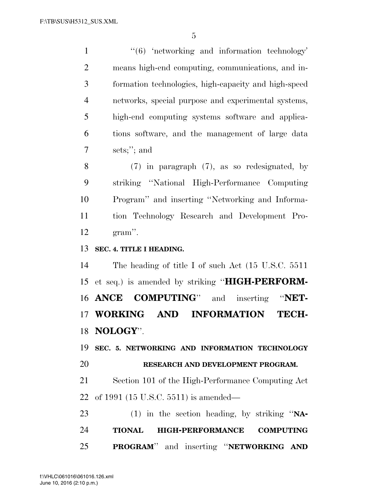1 ''(6) 'networking and information technology' means high-end computing, communications, and in- formation technologies, high-capacity and high-speed networks, special purpose and experimental systems, high-end computing systems software and applica- tions software, and the management of large data sets;''; and (7) in paragraph (7), as so redesignated, by striking ''National High-Performance Computing

 Program'' and inserting ''Networking and Informa- tion Technology Research and Development Pro-gram''.

## **SEC. 4. TITLE I HEADING.**

 The heading of title I of such Act (15 U.S.C. 5511 et seq.) is amended by striking ''**HIGH-PERFORM- ANCE COMPUTING**'' and inserting ''**NET- WORKING AND INFORMATION TECH-NOLOGY**''.

 **SEC. 5. NETWORKING AND INFORMATION TECHNOLOGY RESEARCH AND DEVELOPMENT PROGRAM.** 

 Section 101 of the High-Performance Computing Act of 1991 (15 U.S.C. 5511) is amended—

 (1) in the section heading, by striking ''**NA- TIONAL HIGH-PERFORMANCE COMPUTING PROGRAM**'' and inserting ''**NETWORKING AND**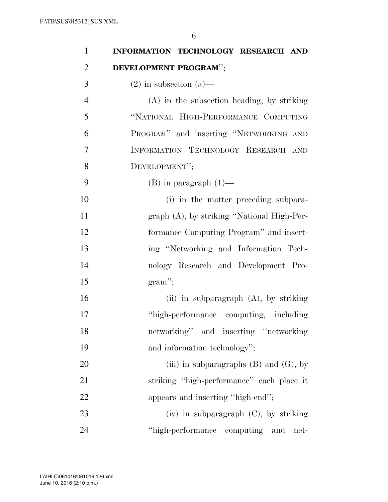| 1              | INFORMATION TECHNOLOGY RESEARCH AND          |
|----------------|----------------------------------------------|
| $\overline{2}$ | DEVELOPMENT PROGRAM";                        |
| 3              | $(2)$ in subsection $(a)$ —                  |
| $\overline{4}$ | $(A)$ in the subsection heading, by striking |
| 5              | "NATIONAL HIGH-PERFORMANCE COMPUTING         |
| 6              | PROGRAM" and inserting "NETWORKING AND       |
| 7              | INFORMATION TECHNOLOGY RESEARCH AND          |
| 8              | DEVELOPMENT";                                |
| 9              | $(B)$ in paragraph $(1)$ —                   |
| 10             | (i) in the matter preceding subpara-         |
| 11             | graph (A), by striking "National High-Per-   |
| 12             | formance Computing Program" and insert-      |
| 13             | ing "Networking and Information Tech-        |
| 14             | nology Research and Development Pro-         |
| 15             | $gram$ ";                                    |
| 16             | (ii) in subparagraph $(A)$ , by striking     |
| 17             | "high-performance computing, including       |
| 18             | networking" and inserting "networking        |
| 19             | and information technology";                 |
| 20             | (iii) in subparagraphs $(B)$ and $(G)$ , by  |
| 21             | striking "high-performance" each place it    |
| 22             | appears and inserting "high-end";            |
| 23             | $(iv)$ in subparagraph $(C)$ , by striking   |
| 24             | "high-performance computing and<br>net-      |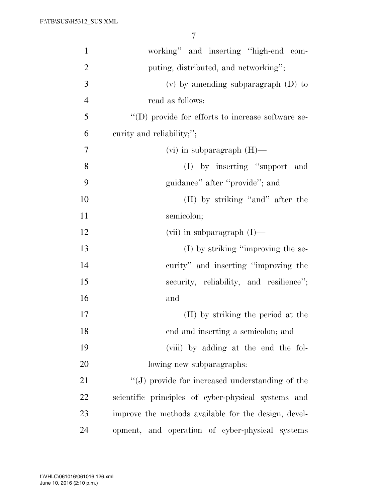| $\mathbf{1}$   | working" and inserting "high-end com-                |
|----------------|------------------------------------------------------|
| $\overline{2}$ | puting, distributed, and networking";                |
| 3              | $(v)$ by amending subparagraph $(D)$ to              |
| $\overline{4}$ | read as follows:                                     |
| 5              | "(D) provide for efforts to increase software se-    |
| 6              | curity and reliability;";                            |
| 7              | $(vi)$ in subparagraph $(H)$ —                       |
| 8              | (I) by inserting "support and                        |
| 9              | guidance" after "provide"; and                       |
| 10             | $(II)$ by striking "and" after the                   |
| 11             | semicolon;                                           |
| 12             | (vii) in subparagraph $(I)$ —                        |
| 13             | $(I)$ by striking "improving the se-                 |
| 14             | curity" and inserting "improving the                 |
| 15             | security, reliability, and resilience";              |
| 16             | and                                                  |
| 17             | (II) by striking the period at the                   |
| 18             | end and inserting a semicolon; and                   |
| 19             | (viii) by adding at the end the fol-                 |
| 20             | lowing new subparagraphs:                            |
| 21             | "(J) provide for increased understanding of the      |
| 22             | scientific principles of cyber-physical systems and  |
| 23             | improve the methods available for the design, devel- |
| 24             | opment, and operation of cyber-physical systems      |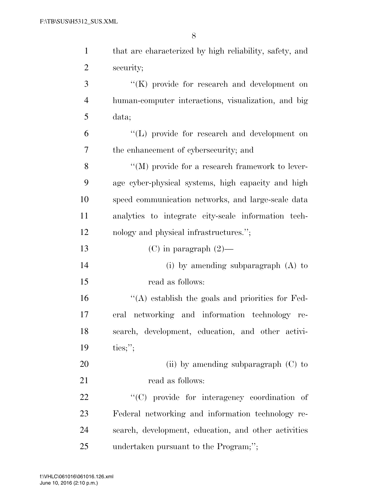| $\mathbf{1}$   | that are characterized by high reliability, safety, and |
|----------------|---------------------------------------------------------|
| $\overline{2}$ | security;                                               |
| 3              | "(K) provide for research and development on            |
| $\overline{4}$ | human-computer interactions, visualization, and big     |
| 5              | data;                                                   |
| 6              | "(L) provide for research and development on            |
| 7              | the enhancement of cybersecurity; and                   |
| 8              | $\lq\lq (M)$ provide for a research framework to lever- |
| 9              | age cyber-physical systems, high capacity and high      |
| 10             | speed communication networks, and large-scale data      |
| 11             | analytics to integrate city-scale information tech-     |
| 12             | nology and physical infrastructures.";                  |
| 13             | $(C)$ in paragraph $(2)$ —                              |
| 14             | (i) by amending subparagraph $(A)$ to                   |
| 15             | read as follows:                                        |
| 16             | $\cdot$ (A) establish the goals and priorities for Fed- |
| 17             | eral networking and information technology re-          |
| 18             | search, development, education, and other activi-       |
| 19             | ties;";                                                 |
| 20             | (ii) by amending subparagraph $(C)$ to                  |
| 21             | read as follows:                                        |
| 22             | "(C) provide for interagency coordination of            |
| 23             | Federal networking and information technology re-       |
| 24             | search, development, education, and other activities    |
| 25             | undertaken pursuant to the Program;";                   |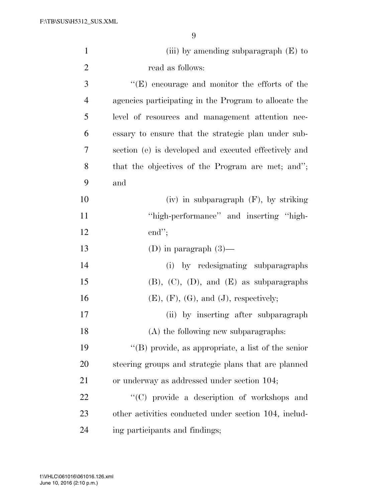| $\mathbf{1}$   | (iii) by amending subparagraph $(E)$ to               |
|----------------|-------------------------------------------------------|
| $\overline{2}$ | read as follows:                                      |
| 3              | $"$ (E) encourage and monitor the efforts of the      |
| $\overline{4}$ | agencies participating in the Program to allocate the |
| 5              | level of resources and management attention nec-      |
| 6              | essary to ensure that the strategic plan under sub-   |
| 7              | section (e) is developed and executed effectively and |
| 8              | that the objectives of the Program are met; and";     |
| 9              | and                                                   |
| 10             | $(iv)$ in subparagraph $(F)$ , by striking            |
| 11             | "high-performance" and inserting "high-               |
| 12             | $end$ ";                                              |
| 13             | (D) in paragraph $(3)$ —                              |
| 14             | (i) by redesignating subparagraphs                    |
| 15             | $(B)$ , $(C)$ , $(D)$ , and $(E)$ as subparagraphs    |
| 16             | $(E),$ $(F),$ $(G),$ and $(J),$ respectively;         |
| 17             | (ii) by inserting after subparagraph                  |
| 18             | (A) the following new subparagraphs:                  |
| 19             | "(B) provide, as appropriate, a list of the senior    |
| 20             | steering groups and strategic plans that are planned  |
| 21             | or underway as addressed under section 104;           |
| 22             | "(C) provide a description of workshops and           |
| 23             | other activities conducted under section 104, includ- |
| 24             | ing participants and findings;                        |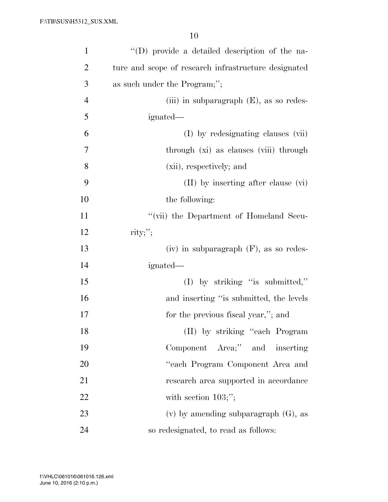| $\mathbf{1}$   | "(D) provide a detailed description of the na-       |
|----------------|------------------------------------------------------|
| $\overline{2}$ | ture and scope of research infrastructure designated |
| 3              | as such under the Program;";                         |
| $\overline{4}$ | (iii) in subparagraph $(E)$ , as so redes-           |
| 5              | ignated—                                             |
| 6              | (I) by redesignating clauses (vii)                   |
| $\overline{7}$ | through (xi) as clauses (yiii) through               |
| 8              | (xii), respectively; and                             |
| 9              | $(II)$ by inserting after clause $(vi)$              |
| 10             | the following:                                       |
| 11             | "(vii) the Department of Homeland Secu-              |
| 12             | $\text{rity};$ ";                                    |
| 13             | $(iv)$ in subparagraph $(F)$ , as so redes-          |
| 14             | ignated—                                             |
| 15             | $(I)$ by striking "is submitted,"                    |
| 16             | and inserting "is submitted, the levels              |
| 17             | for the previous fiscal year,"; and                  |
| 18             | (II) by striking "each Program                       |
| 19             | Component Area;" and inserting                       |
| 20             | "each Program Component Area and                     |
| 21             | research area supported in accordance                |
| 22             | with section $103;$ ";                               |
| 23             | $(v)$ by amending subparagraph $(G)$ , as            |
| 24             | so redesignated, to read as follows:                 |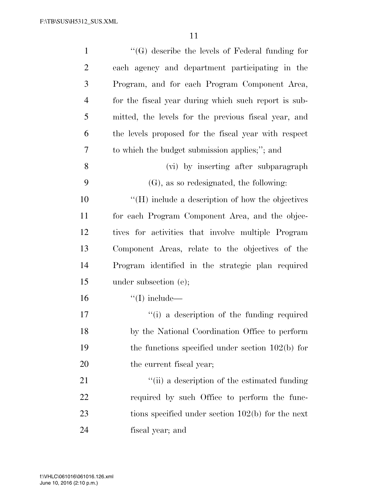| $\mathbf{1}$   | $\lq\lq(G)$ describe the levels of Federal funding for |
|----------------|--------------------------------------------------------|
| $\overline{2}$ | each agency and department participating in the        |
| 3              | Program, and for each Program Component Area,          |
| $\overline{4}$ | for the fiscal year during which such report is sub-   |
| 5              | mitted, the levels for the previous fiscal year, and   |
| 6              | the levels proposed for the fiscal year with respect   |
| 7              | to which the budget submission applies;"; and          |
| 8              | (vi) by inserting after subparagraph                   |
| 9              | $(G)$ , as so redesignated, the following:             |
| 10             | "(H) include a description of how the objectives       |
| 11             | for each Program Component Area, and the objec-        |
| 12             | tives for activities that involve multiple Program     |
| 13             | Component Areas, relate to the objectives of the       |
| 14             | Program identified in the strategic plan required      |
| 15             | under subsection $(e)$ ;                               |
| 16             | $\lq\lq$ (I) include—                                  |
| 17             | "(i) a description of the funding required             |
| 18             | by the National Coordination Office to perform         |
| 19             | the functions specified under section $102(b)$ for     |
| 20             | the current fiscal year;                               |
| 21             | "(ii) a description of the estimated funding           |
| 22             | required by such Office to perform the func-           |
| 23             | tions specified under section $102(b)$ for the next    |
| 24             | fiscal year; and                                       |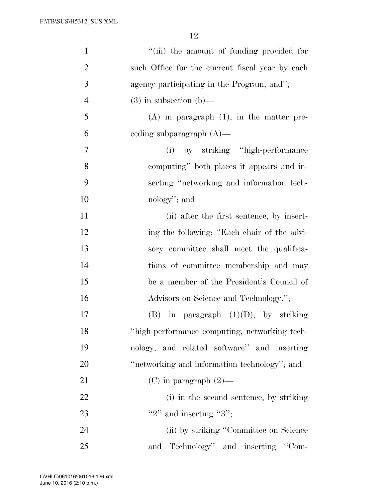| $\mathbf{1}$   | "(iii) the amount of funding provided for       |
|----------------|-------------------------------------------------|
| $\overline{2}$ | such Office for the current fiscal year by each |
| 3              | agency participating in the Program; and";      |
| $\overline{4}$ | $(3)$ in subsection $(b)$ —                     |
| 5              | $(A)$ in paragraph $(1)$ , in the matter pre-   |
| 6              | eeding subparagraph $(A)$ —                     |
| 7              | (i) by striking "high-performance"              |
| 8              | computing" both places it appears and in-       |
| 9              | serting "networking and information tech-       |
| 10             | nology"; and                                    |
| 11             | (ii) after the first sentence, by insert-       |
| 12             | ing the following: "Each chair of the advi-     |
| 13             | sory committee shall meet the qualifica-        |
| 14             | tions of committee membership and may           |
| 15             | be a member of the President's Council of       |
| 16             | Advisors on Science and Technology.";           |
| 17             | in paragraph $(1)(D)$ , by striking<br>(B)      |
| 18             | "high-performance computing, networking tech-   |
| 19             | nology, and related software" and inserting     |
| 20             | "networking and information technology"; and    |
| 21             | $(C)$ in paragraph $(2)$ —                      |
| 22             | (i) in the second sentence, by striking         |
| 23             | "2" and inserting "3";                          |
| 24             | (ii) by striking "Committee on Science          |
| 25             | Technology" and inserting "Com-<br>and          |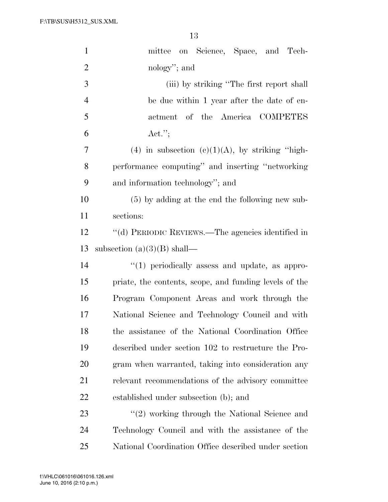| $\mathbf{1}$   | mittee on Science, Space, and Tech-                    |
|----------------|--------------------------------------------------------|
| $\overline{2}$ | nology"; and                                           |
| 3              | (iii) by striking "The first report shall              |
| $\overline{4}$ | be due within 1 year after the date of en-             |
| 5              | actment of the America COMPETES                        |
| 6              | $\text{Act."};$                                        |
| 7              | (4) in subsection (c)(1)(A), by striking "high-        |
| 8              | performance computing" and inserting "networking       |
| 9              | and information technology"; and                       |
| 10             | $(5)$ by adding at the end the following new sub-      |
| 11             | sections:                                              |
| 12             | "(d) PERIODIC REVIEWS.—The agencies identified in      |
| 13             | subsection $(a)(3)(B)$ shall—                          |
| 14             | "(1) periodically assess and update, as appro-         |
| 15             | priate, the contents, scope, and funding levels of the |
| 16             | Program Component Areas and work through the           |
| 17             | National Science and Technology Council and with       |
| 18             | the assistance of the National Coordination Office     |
| 19             | described under section 102 to restructure the Pro-    |
| 20             | gram when warranted, taking into consideration any     |
| 21             | relevant recommendations of the advisory committee     |
| <u>22</u>      | established under subsection (b); and                  |
| 23             | $\lq(2)$ working through the National Science and      |
| 24             | Technology Council and with the assistance of the      |
| 25             | National Coordination Office described under section   |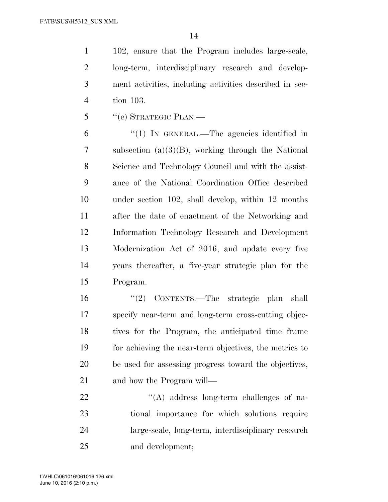102, ensure that the Program includes large-scale, long-term, interdisciplinary research and develop- ment activities, including activities described in sec-tion 103.

''(e) STRATEGIC PLAN.—

 ''(1) IN GENERAL.—The agencies identified in subsection (a)(3)(B), working through the National Science and Technology Council and with the assist- ance of the National Coordination Office described under section 102, shall develop, within 12 months after the date of enactment of the Networking and Information Technology Research and Development Modernization Act of 2016, and update every five years thereafter, a five-year strategic plan for the Program.

 ''(2) CONTENTS.—The strategic plan shall specify near-term and long-term cross-cutting objec- tives for the Program, the anticipated time frame for achieving the near-term objectives, the metrics to be used for assessing progress toward the objectives, and how the Program will—

 $\langle (A) \rangle$  address long-term challenges of na- tional importance for which solutions require large-scale, long-term, interdisciplinary research and development;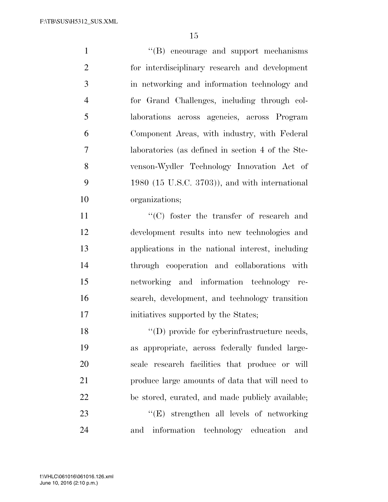$\lq\lq (B)$  encourage and support mechanisms for interdisciplinary research and development in networking and information technology and for Grand Challenges, including through col- laborations across agencies, across Program Component Areas, with industry, with Federal laboratories (as defined in section 4 of the Ste- venson-Wydler Technology Innovation Act of 1980 (15 U.S.C. 3703)), and with international organizations;

11 ''(C) foster the transfer of research and development results into new technologies and applications in the national interest, including through cooperation and collaborations with networking and information technology re- search, development, and technology transition 17 initiatives supported by the States;

 $\langle \text{(D)} \rangle$  provide for cyberinfrastructure needs, as appropriate, across federally funded large- scale research facilities that produce or will produce large amounts of data that will need to be stored, curated, and made publicly available; 23 ''(E) strengthen all levels of networking and information technology education and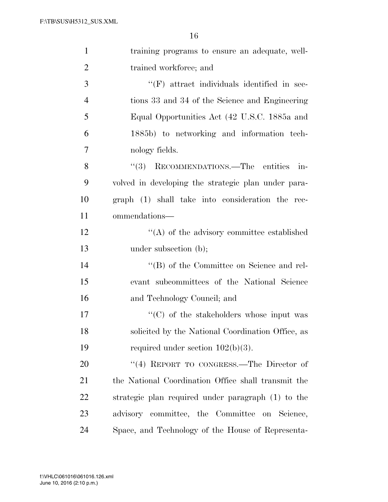| $\mathbf{1}$   | training programs to ensure an adequate, well-      |
|----------------|-----------------------------------------------------|
| $\overline{2}$ | trained workforce; and                              |
| 3              | $\lq\lq(F)$ attract individuals identified in sec-  |
| $\overline{4}$ | tions 33 and 34 of the Science and Engineering      |
| 5              | Equal Opportunities Act (42 U.S.C. 1885a and        |
| 6              | 1885b) to networking and information tech-          |
| 7              | nology fields.                                      |
| 8              | RECOMMENDATIONS.—The entities<br>(3)<br>in-         |
| 9              | volved in developing the strategic plan under para- |
| 10             | graph (1) shall take into consideration the rec-    |
| 11             | ommendations—                                       |
| 12             | $\lq\lq$ of the advisory committee established      |
| 13             | under subsection (b);                               |
| 14             | "(B) of the Committee on Science and rel-           |
| 15             | evant subcommittees of the National Science         |
| 16             | and Technology Council; and                         |
| 17             | "(C) of the stakeholders whose input was            |
| 18             | solicited by the National Coordination Office, as   |
| 19             | required under section $102(b)(3)$ .                |
| 20             | "(4) REPORT TO CONGRESS.—The Director of            |
| 21             | the National Coordination Office shall transmit the |
| 22             | strategic plan required under paragraph (1) to the  |
| 23             | advisory committee, the Committee on Science,       |
| 24             | Space, and Technology of the House of Representa-   |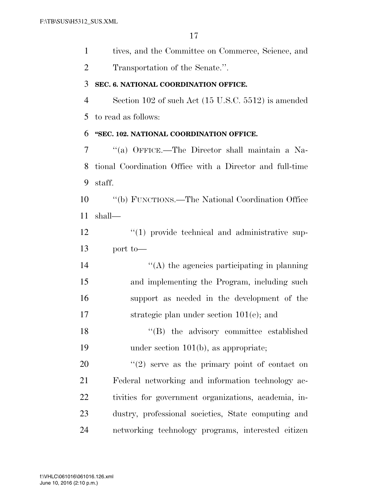tives, and the Committee on Commerce, Science, and

Transportation of the Senate.''.

#### **SEC. 6. NATIONAL COORDINATION OFFICE.**

 Section 102 of such Act (15 U.S.C. 5512) is amended to read as follows:

## **''SEC. 102. NATIONAL COORDINATION OFFICE.**

 ''(a) OFFICE.—The Director shall maintain a Na- tional Coordination Office with a Director and full-time staff.

 ''(b) FUNCTIONS.—The National Coordination Office shall—

12  $\frac{1}{2}$  (1) provide technical and administrative sup-port to—

 $'$ (A) the agencies participating in planning and implementing the Program, including such support as needed in the development of the strategic plan under section 101(e); and

18 ''(B) the advisory committee established under section 101(b), as appropriate;

 $\frac{1}{2}$  serve as the primary point of contact on Federal networking and information technology ac- tivities for government organizations, academia, in- dustry, professional societies, State computing and networking technology programs, interested citizen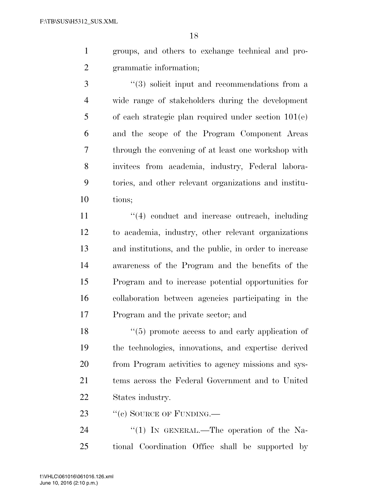groups, and others to exchange technical and pro-grammatic information;

3 (3) solicit input and recommendations from a wide range of stakeholders during the development of each strategic plan required under section 101(e) and the scope of the Program Component Areas through the convening of at least one workshop with invitees from academia, industry, Federal labora- tories, and other relevant organizations and institu-tions;

11 ''(4) conduct and increase outreach, including to academia, industry, other relevant organizations and institutions, and the public, in order to increase awareness of the Program and the benefits of the Program and to increase potential opportunities for collaboration between agencies participating in the Program and the private sector; and

18 ''(5) promote access to and early application of the technologies, innovations, and expertise derived from Program activities to agency missions and sys- tems across the Federal Government and to United States industry.

23 "(c) SOURCE OF FUNDING.—

24 "(1) In GENERAL.—The operation of the Na-tional Coordination Office shall be supported by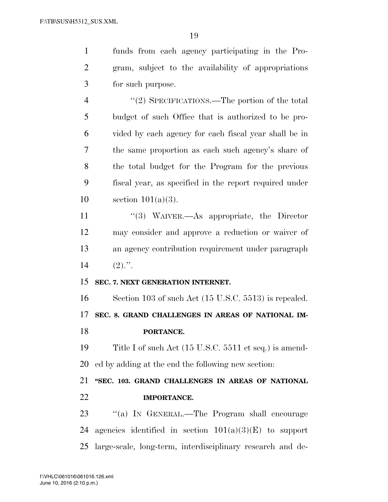funds from each agency participating in the Pro- gram, subject to the availability of appropriations for such purpose.

4 "(2) SPECIFICATIONS.—The portion of the total budget of such Office that is authorized to be pro- vided by each agency for each fiscal year shall be in the same proportion as each such agency's share of the total budget for the Program for the previous fiscal year, as specified in the report required under section 101(a)(3).

11 ''(3) WAIVER.—As appropriate, the Director may consider and approve a reduction or waiver of an agency contribution requirement under paragraph 14  $(2)$ .".

### **SEC. 7. NEXT GENERATION INTERNET.**

 Section 103 of such Act (15 U.S.C. 5513) is repealed. **SEC. 8. GRAND CHALLENGES IN AREAS OF NATIONAL IM-PORTANCE.** 

 Title I of such Act (15 U.S.C. 5511 et seq.) is amend-ed by adding at the end the following new section:

 **''SEC. 103. GRAND CHALLENGES IN AREAS OF NATIONAL IMPORTANCE.** 

23 "(a) IN GENERAL.—The Program shall encourage 24 agencies identified in section  $101(a)(3)(E)$  to support large-scale, long-term, interdisciplinary research and de-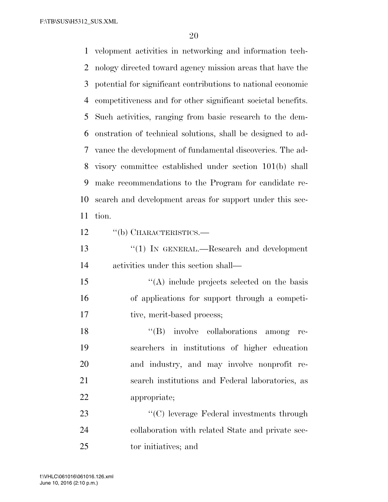velopment activities in networking and information tech- nology directed toward agency mission areas that have the potential for significant contributions to national economic competitiveness and for other significant societal benefits. Such activities, ranging from basic research to the dem- onstration of technical solutions, shall be designed to ad- vance the development of fundamental discoveries. The ad- visory committee established under section 101(b) shall make recommendations to the Program for candidate re- search and development areas for support under this sec- tion. 12 "(b) CHARACTERISTICS.—

13 "(1) IN GENERAL.—Research and development activities under this section shall—

15 "(A) include projects selected on the basis of applications for support through a competi-17 tive, merit-based process;

 $\langle G \rangle$  involve collaborations among re- searchers in institutions of higher education and industry, and may involve nonprofit re- search institutions and Federal laboratories, as appropriate;

23 ''(C) leverage Federal investments through collaboration with related State and private sec-tor initiatives; and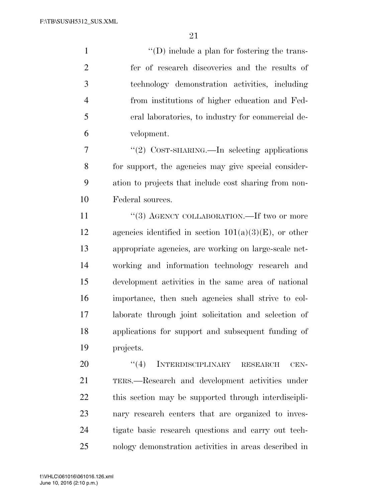$\langle (D) \rangle$  include a plan for fostering the trans- fer of research discoveries and the results of technology demonstration activities, including from institutions of higher education and Fed- eral laboratories, to industry for commercial de-velopment.

 ''(2) COST-SHARING.—In selecting applications for support, the agencies may give special consider- ation to projects that include cost sharing from non-Federal sources.

11 "(3) AGENCY COLLABORATION.—If two or more 12 agencies identified in section  $101(a)(3)(E)$ , or other appropriate agencies, are working on large-scale net- working and information technology research and development activities in the same area of national importance, then such agencies shall strive to col- laborate through joint solicitation and selection of applications for support and subsequent funding of projects.

20 "(4) INTERDISCIPLINARY RESEARCH CEN- TERS.—Research and development activities under this section may be supported through interdiscipli- nary research centers that are organized to inves- tigate basic research questions and carry out tech-nology demonstration activities in areas described in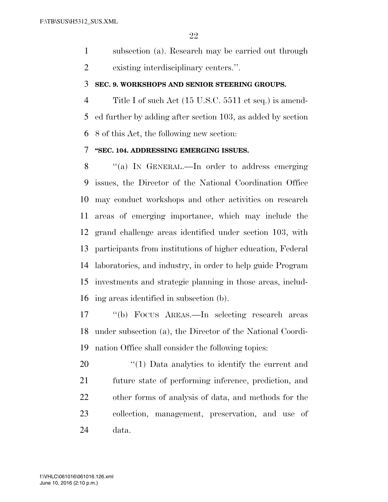subsection (a). Research may be carried out through existing interdisciplinary centers.''.

#### **SEC. 9. WORKSHOPS AND SENIOR STEERING GROUPS.**

 Title I of such Act (15 U.S.C. 5511 et seq.) is amend- ed further by adding after section 103, as added by section 8 of this Act, the following new section:

### **''SEC. 104. ADDRESSING EMERGING ISSUES.**

 ''(a) IN GENERAL.—In order to address emerging issues, the Director of the National Coordination Office may conduct workshops and other activities on research areas of emerging importance, which may include the grand challenge areas identified under section 103, with participants from institutions of higher education, Federal laboratories, and industry, in order to help guide Program investments and strategic planning in those areas, includ-ing areas identified in subsection (b).

 ''(b) FOCUS AREAS.—In selecting research areas under subsection (a), the Director of the National Coordi-nation Office shall consider the following topics:

 $\frac{1}{20}$  (1) Data analytics to identify the current and future state of performing inference, prediction, and other forms of analysis of data, and methods for the collection, management, preservation, and use of data.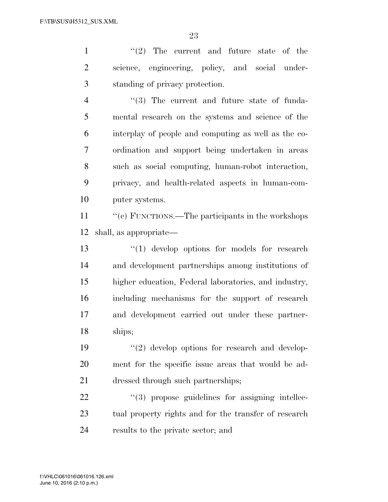1 ''(2) The current and future state of the science, engineering, policy, and social under-standing of privacy protection.

4 ''(3) The current and future state of funda- mental research on the systems and science of the interplay of people and computing as well as the co- ordination and support being undertaken in areas such as social computing, human-robot interaction, privacy, and health-related aspects in human-com-puter systems.

11 ''(c) FUNCTIONS.—The participants in the workshops shall, as appropriate—

13 ''(1) develop options for models for research and development partnerships among institutions of higher education, Federal laboratories, and industry, including mechanisms for the support of research and development carried out under these partner-ships;

 ''(2) develop options for research and develop- ment for the specific issue areas that would be ad-dressed through such partnerships;

22  $(3)$  propose guidelines for assigning intellec-23 tual property rights and for the transfer of research results to the private sector; and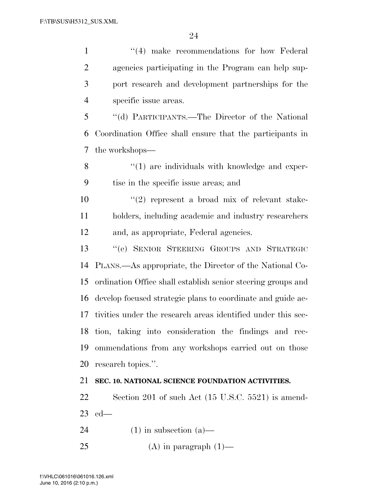1 ''(4) make recommendations for how Federal agencies participating in the Program can help sup- port research and development partnerships for the specific issue areas. ''(d) PARTICIPANTS.—The Director of the National Coordination Office shall ensure that the participants in the workshops— 8 ''(1) are individuals with knowledge and exper- tise in the specific issue areas; and  $(2)$  represent a broad mix of relevant stake- holders, including academic and industry researchers and, as appropriate, Federal agencies. ''(e) SENIOR STEERING GROUPS AND STRATEGIC PLANS.—As appropriate, the Director of the National Co- ordination Office shall establish senior steering groups and develop focused strategic plans to coordinate and guide ac- tivities under the research areas identified under this sec- tion, taking into consideration the findings and rec- ommendations from any workshops carried out on those research topics.''. **SEC. 10. NATIONAL SCIENCE FOUNDATION ACTIVITIES.**  Section 201 of such Act (15 U.S.C. 5521) is amend- ed— 24 (1) in subsection (a)—

25 (A) in paragraph  $(1)$ —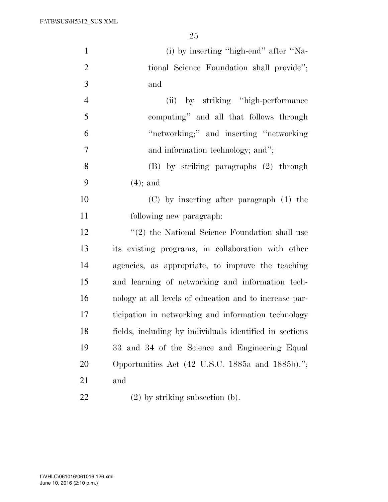F:\TB\SUS\H5312\_SUS.XML

| $\mathbf{1}$   | (i) by inserting "high-end" after "Na-                  |
|----------------|---------------------------------------------------------|
| $\overline{2}$ | tional Science Foundation shall provide";               |
| 3              | and                                                     |
| $\overline{4}$ | (ii) by striking "high-performance"                     |
| 5              | computing" and all that follows through                 |
| 6              | "networking;" and inserting "networking"                |
| 7              | and information technology; and";                       |
| 8              | (B) by striking paragraphs (2) through                  |
| 9              | $(4)$ ; and                                             |
| 10             | (C) by inserting after paragraph (1) the                |
| 11             | following new paragraph:                                |
| 12             | $\lq(2)$ the National Science Foundation shall use      |
| 13             | its existing programs, in collaboration with other      |
| 14             | agencies, as appropriate, to improve the teaching       |
| 15             | and learning of networking and information tech-        |
| 16             | nology at all levels of education and to increase par-  |
| 17             | ticipation in networking and information technology     |
| 18             | fields, including by individuals identified in sections |
| 19             | 33 and 34 of the Science and Engineering Equal          |
| 20             | Opportunities Act (42 U.S.C. 1885a and 1885b).";        |
| 21             | and                                                     |
| 22             | $(2)$ by striking subsection (b).                       |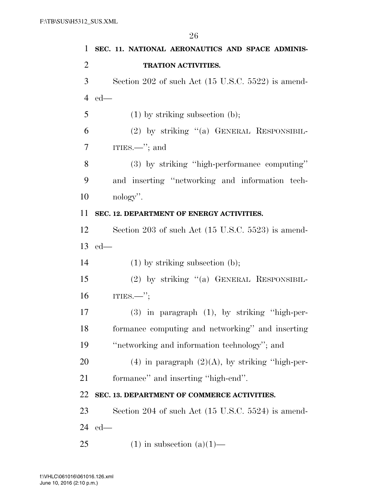|                | 26                                                            |
|----------------|---------------------------------------------------------------|
| $\mathbf{1}$   | SEC. 11. NATIONAL AERONAUTICS AND SPACE ADMINIS-              |
| $\overline{2}$ | TRATION ACTIVITIES.                                           |
| 3              | Section 202 of such Act $(15 \text{ U.S.C. } 5522)$ is amend- |
| $\overline{4}$ | $ed$ —                                                        |
| 5              | $(1)$ by striking subsection $(b)$ ;                          |
| 6              | $(2)$ by striking " $(a)$ GENERAL RESPONSIBIL-                |
| $\tau$         | ITIES.—"; and                                                 |
| 8              | (3) by striking "high-performance computing"                  |
| 9              | and inserting "networking and information tech-               |
| 10             | nology".                                                      |
| 11             | SEC. 12. DEPARTMENT OF ENERGY ACTIVITIES.                     |
| 12             | Section 203 of such Act $(15 \text{ U.S.C. } 5523)$ is amend- |
| 13             | $ed$ —                                                        |
| 14             | $(1)$ by striking subsection $(b)$ ;                          |
| 15             | $(2)$ by striking " $(a)$ GENERAL RESPONSIBIL-                |
| 16             | ITIES. $\frac{}{}$                                            |
| 17             | $(3)$ in paragraph $(1)$ , by striking "high-per-             |
| 18             | formance computing and networking" and inserting              |
| 19             | "networking and information technology"; and                  |
| 20             | $(4)$ in paragraph $(2)(A)$ , by striking "high-per-          |
| 21             | formance" and inserting "high-end".                           |
| 22             | SEC. 13. DEPARTMENT OF COMMERCE ACTIVITIES.                   |
| 23             | Section 204 of such Act $(15 \text{ U.S.C. } 5524)$ is amend- |
| 24             | $ed$ —                                                        |
| 25             | $(1)$ in subsection $(a)(1)$ —                                |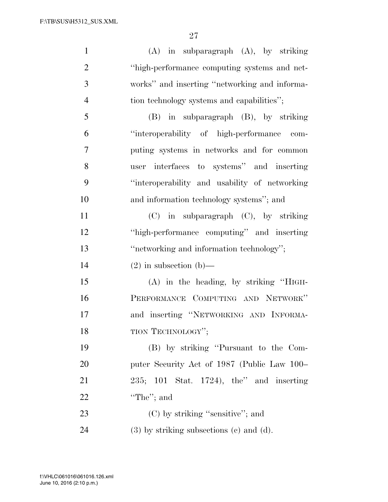| $\mathbf{1}$   | $(A)$ in subparagraph $(A)$ , by striking     |
|----------------|-----------------------------------------------|
| $\overline{2}$ | "high-performance computing systems and net-  |
| 3              | works" and inserting "networking and informa- |
| $\overline{4}$ | tion technology systems and capabilities";    |
| 5              | (B) in subparagraph (B), by striking          |
| 6              | "interoperability of high-performance com-    |
| $\overline{7}$ | puting systems in networks and for common     |
| 8              | user interfaces to systems" and inserting     |
| 9              | "interoperability and usability of networking |
| 10             | and information technology systems"; and      |
| 11             | $(C)$ in subparagraph $(C)$ , by striking     |
| 12             | "high-performance computing" and inserting    |
|                |                                               |
| 13             | "networking and information technology";      |
| 14             | $(2)$ in subsection $(b)$ —                   |
| 15             | $(A)$ in the heading, by striking "HIGH-      |
| 16             | PERFORMANCE COMPUTING AND NETWORK"            |
| 17             | and inserting "NETWORKING AND INFORMA-        |
| 18             | TION TECHNOLOGY";                             |
| 19             | (B) by striking "Pursuant to the Com-         |
| 20             | puter Security Act of 1987 (Public Law 100–   |
| 21             | $235$ ; 101 Stat. 1724), the" and inserting   |
| 22             | "The"; and                                    |
| 23             | $(C)$ by striking "sensitive"; and            |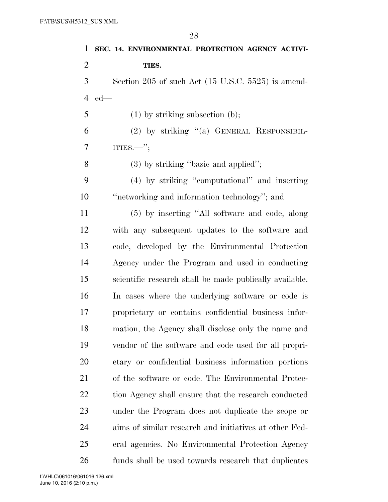| 1              | SEC. 14. ENVIRONMENTAL PROTECTION AGENCY ACTIVI-              |
|----------------|---------------------------------------------------------------|
| $\overline{2}$ | TIES.                                                         |
| 3              | Section 205 of such Act $(15 \text{ U.S.C. } 5525)$ is amend- |
| $\overline{4}$ | $ed$ —                                                        |
| 5              | $(1)$ by striking subsection $(b)$ ;                          |
| 6              | $(2)$ by striking " $(a)$ GENERAL RESPONSIBIL-                |
| 7              | ITIES.—";                                                     |
| 8              | $(3)$ by striking "basic and applied";                        |
| 9              | (4) by striking "computational" and inserting                 |
| 10             | "networking and information technology"; and                  |
| 11             | (5) by inserting "All software and code, along                |
| 12             | with any subsequent updates to the software and               |
| 13             | code, developed by the Environmental Protection               |
| 14             | Agency under the Program and used in conducting               |
| 15             | scientific research shall be made publically available.       |
| 16             | In cases where the underlying software or code is             |
| 17             | proprietary or contains confidential business infor-          |
| 18             | mation, the Agency shall disclose only the name and           |
| 19             | vendor of the software and code used for all propri-          |
| 20             | etary or confidential business information portions           |
| 21             | of the software or code. The Environmental Protec-            |
| 22             | tion Agency shall ensure that the research conducted          |
| 23             | under the Program does not duplicate the scope or             |
| 24             | aims of similar research and initiatives at other Fed-        |
| 25             | eral agencies. No Environmental Protection Agency             |
| 26             | funds shall be used towards research that duplicates          |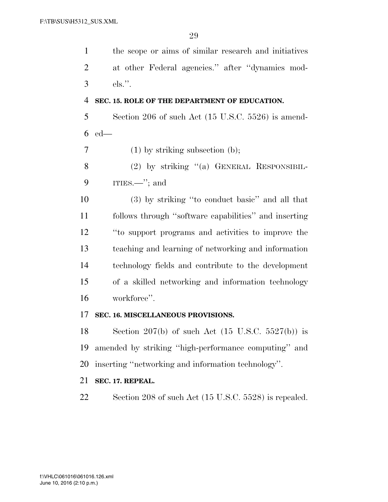the scope or aims of similar research and initiatives at other Federal agencies.'' after ''dynamics mod-els.''.

## **SEC. 15. ROLE OF THE DEPARTMENT OF EDUCATION.**

 Section 206 of such Act (15 U.S.C. 5526) is amend-ed—

(1) by striking subsection (b);

8 (2) by striking "(a) GENERAL RESPONSIBIL-ITIES.—''; and

 (3) by striking ''to conduct basic'' and all that follows through ''software capabilities'' and inserting ''to support programs and activities to improve the teaching and learning of networking and information technology fields and contribute to the development of a skilled networking and information technology workforce''.

## **SEC. 16. MISCELLANEOUS PROVISIONS.**

18 Section 207(b) of such Act  $(15 \text{ U.S.C. } 5527(\text{b}))$  is amended by striking ''high-performance computing'' and inserting ''networking and information technology''.

## **SEC. 17. REPEAL.**

Section 208 of such Act (15 U.S.C. 5528) is repealed.